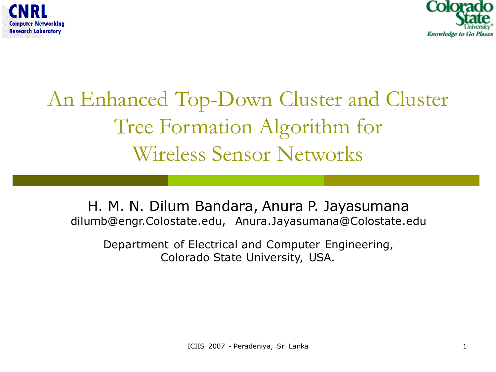



### An Enhanced Top-Down Cluster and Cluster Tree Formation Algorithm for Wireless Sensor Networks

H. M. N. Dilum Bandara, Anura P. Jayasumana dilumb@engr.Colostate.edu, Anura.Jayasumana@Colostate.edu

Department of Electrical and Computer Engineering, Colorado State University, USA.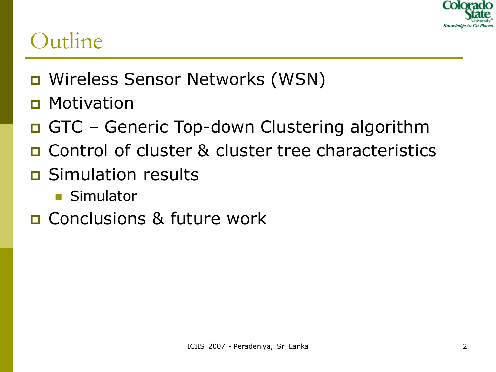

### **Outline**

- Wireless Sensor Networks (WSN)
- **D** Motivation
- □ GTC Generic Top-down Clustering algorithm
- Control of cluster & cluster tree characteristics
- Simulation results
	- **Simulator**
- **E** Conclusions & future work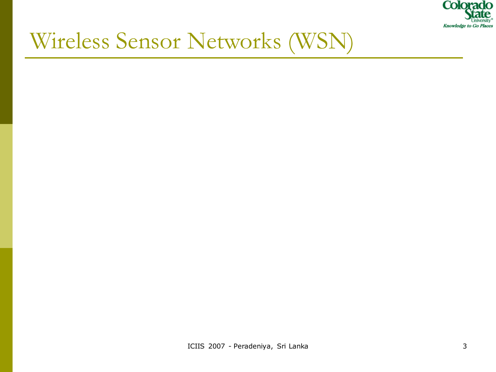

# Wireless Sensor Networks (WSN)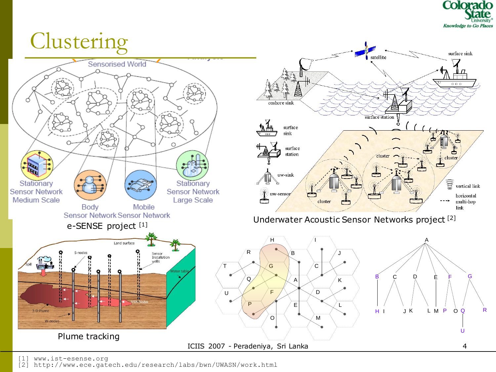



[1] www.ist-esense.org

[2] http://www.ece.gatech.edu/research/labs/bwn/UWASN/work.html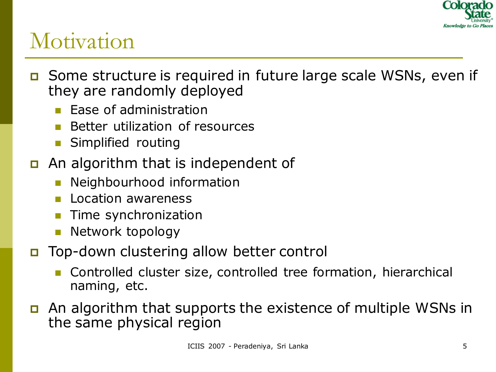

### Motivation

- □ Some structure is required in future large scale WSNs, even if they are randomly deployed
	- $\blacksquare$  Ease of administration
	- Better utilization of resources
	- Simplified routing
- a An algorithm that is independent of
	- Neighbourhood information
	- Location awareness
	- Time synchronization
	- Network topology
- Top-down clustering allow better control
	- Controlled cluster size, controlled tree formation, hierarchical naming, etc.
- An algorithm that supports the existence of multiple WSNs in the same physical region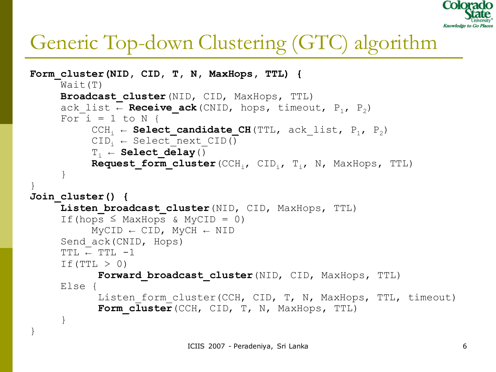

### Generic Top-down Clustering (GTC) algorithm

```
Form_cluster(NID, CID, T, N, MaxHops, TTL) {
     Wait(T)
      Broadcast_cluster(NID, CID, MaxHops, TTL)
      ack list ← Receive ack(CNID, hops, timeout, P<sub>1</sub>, P<sub>2</sub>)
      For i = 1 to N {
            CCH<sub>i</sub> ← Select candidate CH(TTL, ack list, P<sub>1</sub>, P<sub>2</sub>)
            CID_i \leftarrow Select \text{next} \quad CID()Ti ← Select_delay()
            Request form cluster (CCH<sub>i</sub>, CID<sub>i</sub>, T<sub>i</sub>, N, MaxHops, TTL)
      }
}
Join_cluster() {
      Listen broadcast cluster (NID, CID, MaxHops, TTL)
      If (hops \leq MaxHops & MyCID = 0)
            MVCID \leftarrow CID, MVCH \leftarrow NIDSend ack(CNID, Hops)
      TTL \leftarrow TTL -1If (TTL > 0)Forward broadcast cluster (NID, CID, MaxHops, TTL)
      Else { 
             Listen form cluster(CCH, CID, T, N, MaxHops, TTL, timeout)
             Form cluster (CCH, CID, T, N, MaxHops, TTL)
      }
}
```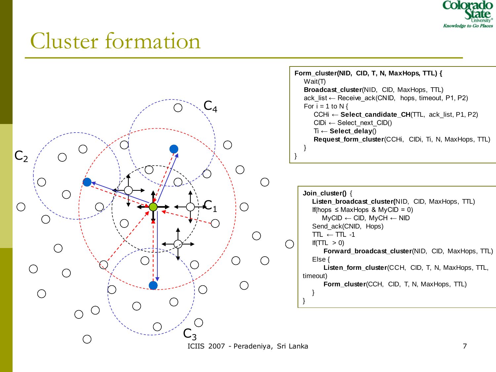

### Cluster formation

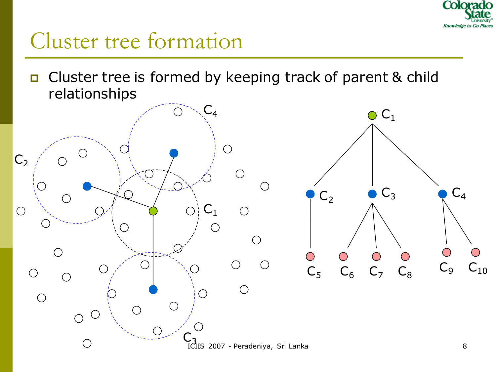

### Cluster tree formation

□ Cluster tree is formed by keeping track of parent & child relationships

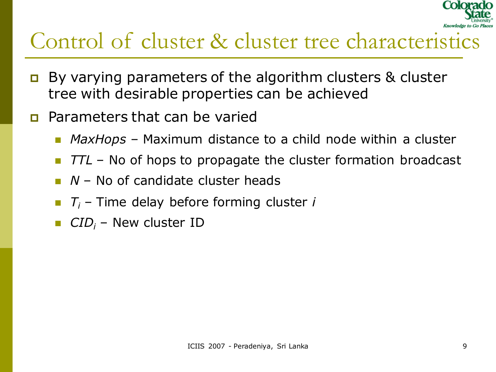

### Control of cluster & cluster tree characteristics

- $\Box$  By varying parameters of the algorithm clusters & cluster tree with desirable properties can be achieved
- **Parameters that can be varied** 
	- *MaxHops* Maximum distance to a child node within a cluster
	- *TTL* No of hops to propagate the cluster formation broadcast
	- *N* No of candidate cluster heads
	- *T<sup>i</sup>* Time delay before forming cluster *i*
	- *CID<sup>i</sup>* New cluster ID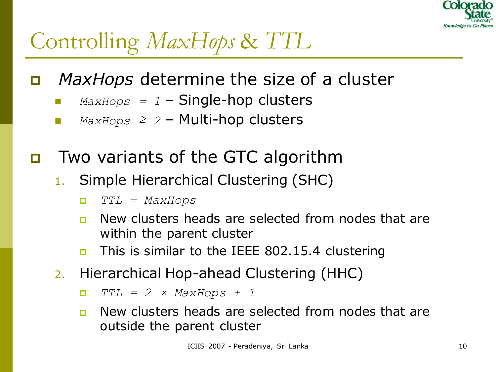

# Controlling *MaxHops* & *TTL*

- *MaxHops* determine the size of a cluster
	- *MaxHops = 1* Single-hop clusters
	- *MaxHops ≥ 2* Multi-hop clusters
- Two variants of the GTC algorithm
	- 1. Simple Hierarchical Clustering (SHC)
		- *TTL = MaxHops*
		- **n** New clusters heads are selected from nodes that are within the parent cluster
		- This is similar to the IEEE 802.15.4 clustering
	- 2. Hierarchical Hop-ahead Clustering (HHC)

*TTL = 2 × MaxHops + 1*

**n** New clusters heads are selected from nodes that are outside the parent cluster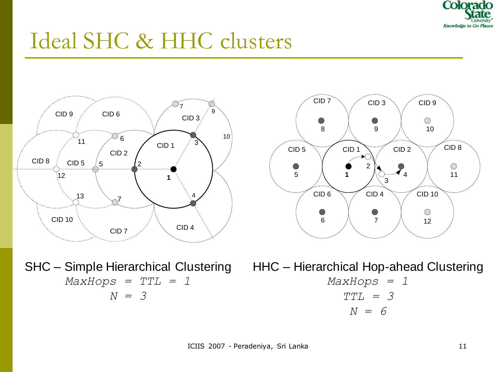

### Ideal SHC & HHC clusters





SHC - Simple Hierarchical Clustering HHC - Hierarchical Hop-ahead Clustering *MaxHops = TTL = 1 N = 3*

*MaxHops = 1 TTL = 3 N = 6*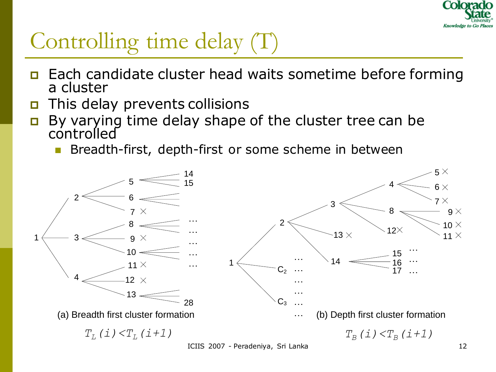

### Controlling time delay (T)

- **Each candidate cluster head waits sometime before forming** a cluster
- This delay prevents collisions
- $\Box$  By varying time delay shape of the cluster tree can be controlled
	- Breadth-first, depth-first or some scheme in between

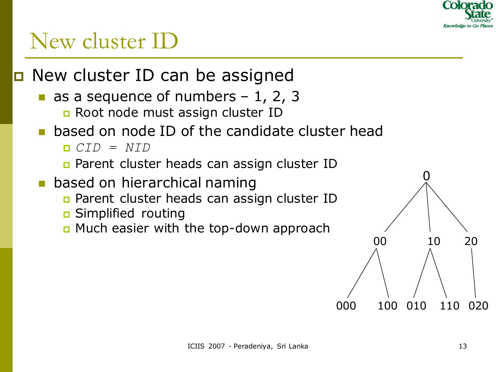

### New cluster ID

□ New cluster ID can be assigned

- as a sequence of numbers  $-1$ , 2, 3 Root node must assign cluster ID
- based on node ID of the candidate cluster head
	- *CID = NID*

**Parent cluster heads can assign cluster ID** 

- based on hierarchical naming
	- **Parent cluster heads can assign cluster ID**
	- Simplified routing
	- **n** Much easier with the top-down approach

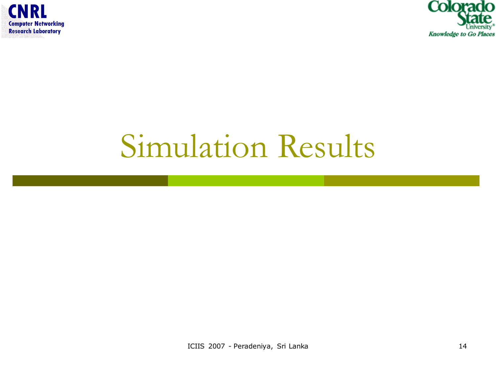



# Simulation Results

ICIIS 2007 - Peradeniya, Sri Lanka 14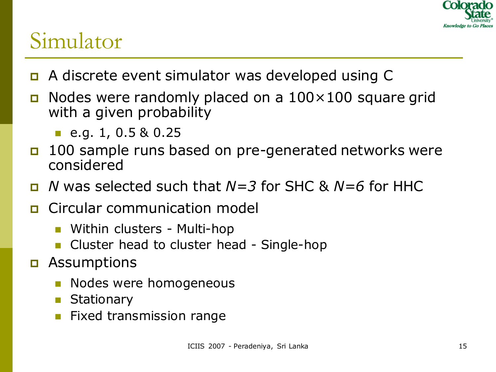

### Simulator

- A discrete event simulator was developed using C
- $\Box$  Nodes were randomly placed on a 100 $\times$ 100 square grid with a given probability
	- e.g. 1,  $0.5 & 0.25$
- 100 sample runs based on pre-generated networks were considered
- *N* was selected such that *N=3* for SHC & *N=6* for HHC
- Circular communication model
	- Within clusters Multi-hop
	- Cluster head to cluster head Single-hop
- Assumptions
	- **Nodes were homogeneous**
	- **Stationary**
	- Fixed transmission range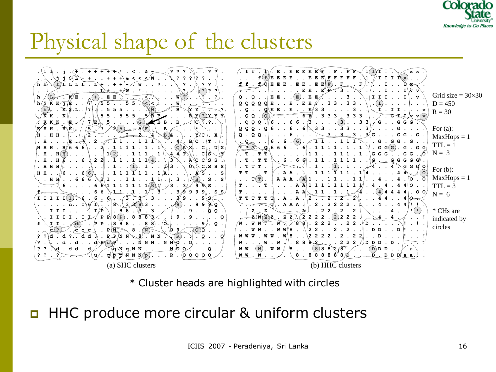

### Physical shape of the clusters



\* Cluster heads are highlighted with circles

#### **HHC produce more circular & uniform clusters**

ICIIS 2007 - Peradeniya, Sri Lanka 16 ansara 16 ansara 16 ansara 16 ansara 16 ansara 16 ansara 16 ansara 16 an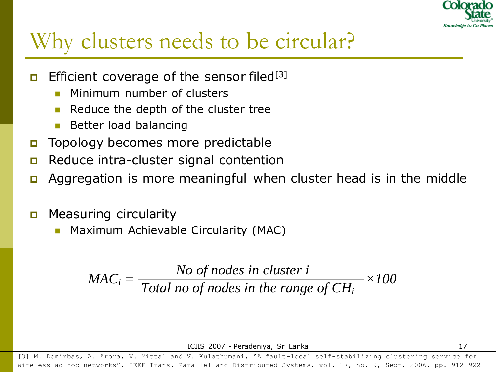

### Why clusters needs to be circular?

- **Efficient coverage of the sensor filed**<sup>[3]</sup>
	- Minimum number of clusters
	- Reduce the depth of the cluster tree
	- Better load balancing
- Topology becomes more predictable
- Reduce intra-cluster signal contention
- Aggregation is more meaningful when cluster head is in the middle
- **D** Measuring circularity
	- Maximum Achievable Circularity (MAC)

$$
MAC_i = \frac{No \ of \ nodes \ in \ cluster \ i}{Total \ no \ of \ nodes \ in \ the \ range \ of \ CH_i} \times 100
$$

ICIIS 2007 - Peradeniya, Sri Lanka 17

[3] M. Demirbas, A. Arora, V. Mittal and V. Kulathumani, "A fault-local self-stabilizing clustering service for wireless ad hoc networks", IEEE Trans. Parallel and Distributed Systems, vol. 17, no. 9, Sept. 2006, pp. 912-922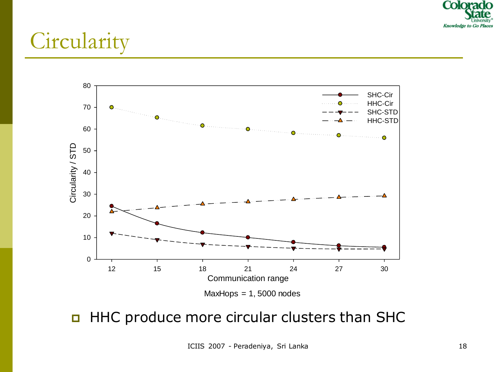

### **Circularity**



#### **HHC produce more circular clusters than SHC**

ICIIS 2007 - Peradeniya, Sri Lanka 18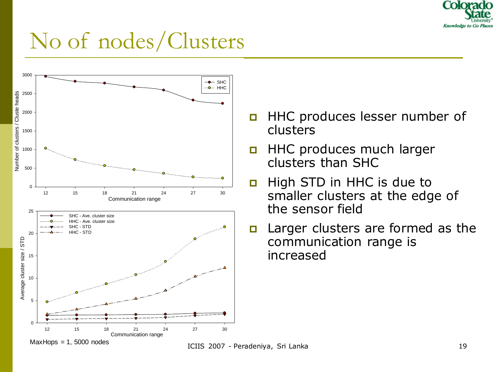

### No of nodes/Clusters



- **HHC produces lesser number of** clusters
- **HHC produces much larger** clusters than SHC
- High STD in HHC is due to smaller clusters at the edge of the sensor field
- Larger clusters are formed as the communication range is increased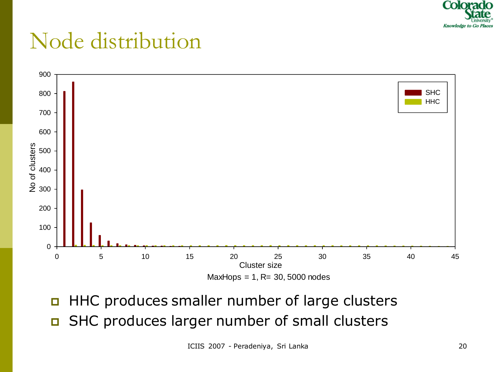

### Node distribution



**HHC produces smaller number of large clusters** SHC produces larger number of small clusters

ICIIS 2007 - Peradeniya, Sri Lanka 20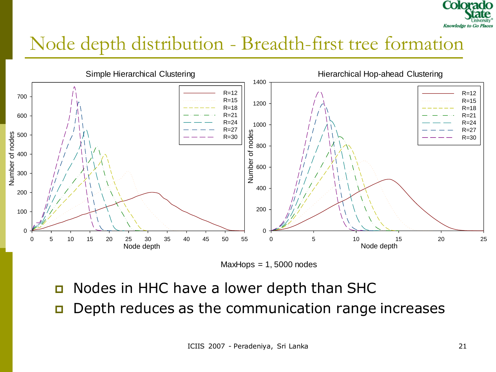

### Node depth distribution - Breadth-first tree formation





- □ Nodes in HHC have a lower depth than SHC
- **D** Depth reduces as the communication range increases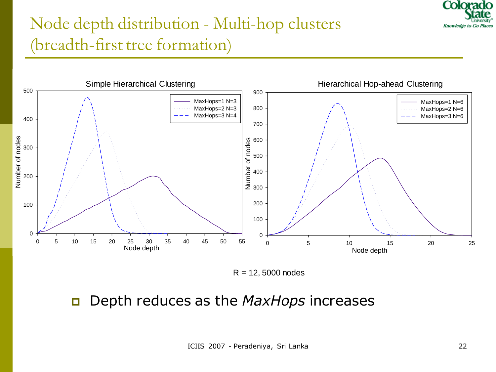

### Node depth distribution - Multi-hop clusters (breadth-first tree formation)



 $R = 12,5000$  nodes

#### Depth reduces as the *MaxHops* increases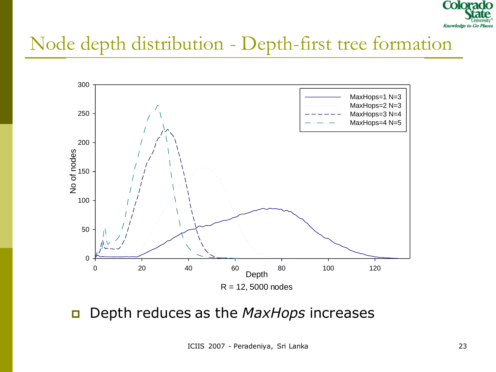

### Node depth distribution - Depth-first tree formation



Depth reduces as the *MaxHops* increases

ICIIS 2007 - Peradeniya, Sri Lanka 23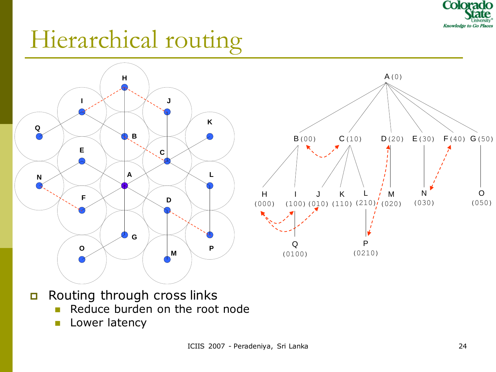

# Hierarchical routing



- Routing through cross links
	- Reduce burden on the root node
	- **Lower latency**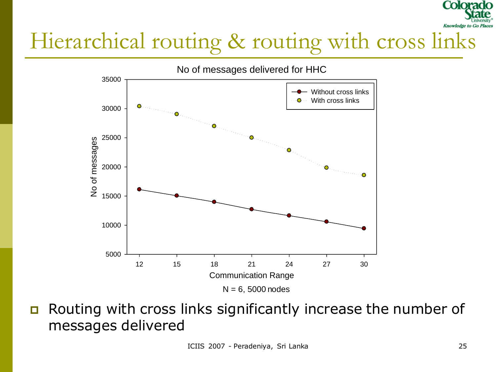# Hierarchical routing & routing with cross links



Routing with cross links significantly increase the number of

Colora

**Knowledge** to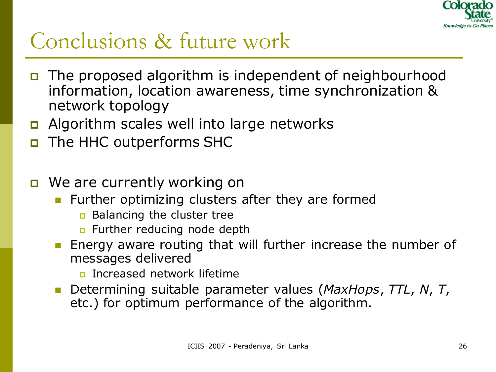

### Conclusions & future work

- The proposed algorithm is independent of neighbourhood information, location awareness, time synchronization & network topology
- a Algorithm scales well into large networks
- **D** The HHC outperforms SHC
- **D** We are currently working on
	- **Further optimizing clusters after they are formed** 
		- **Balancing the cluster tree**
		- **n** Further reducing node depth
	- **Energy aware routing that will further increase the number of** messages delivered
		- Increased network lifetime
	- Determining suitable parameter values (*MaxHops*, *TTL*, *N*, *T*, etc.) for optimum performance of the algorithm.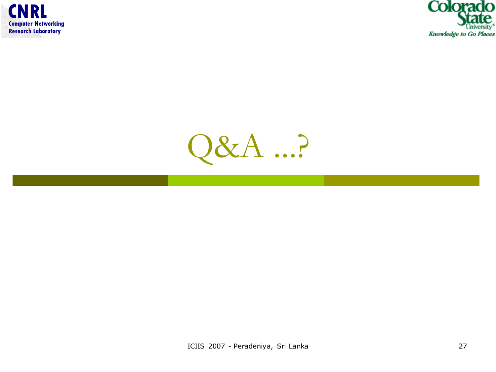